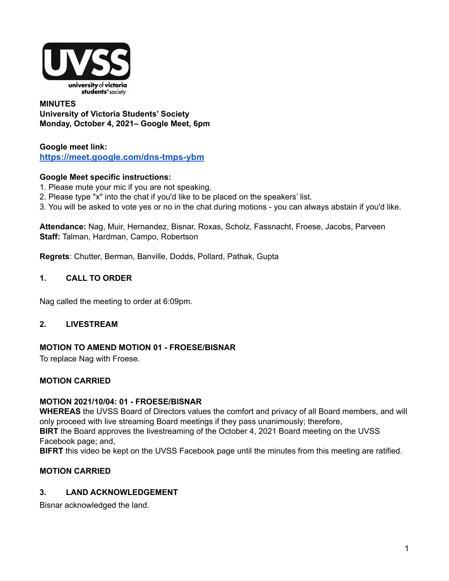

#### **MINUTES University of Victoria Students' Society Monday, October 4, 2021– Google Meet, 6pm**

## **Google meet link[:](https://us02web.zoom.us/j/84726203931?pwd=bGNKTElKZEFIWkNvRlY2TFBqb3dQUT09) <https://meet.google.com/dns-tmps-ybm>**

## **Google Meet specific instructions:**

- 1. Please mute your mic if you are not speaking.
- 2. Please type "x" into the chat if you'd like to be placed on the speakers' list.
- 3. You will be asked to vote yes or no in the chat during motions you can always abstain if you'd like.

**Attendance:** Nag, Muir, Hernandez, Bisnar, Roxas, Scholz, Fassnacht, Froese, Jacobs, Parveen **Staff:** Talman, Hardman, Campo, Robertson

**Regrets**: Chutter, Berman, Banville, Dodds, Pollard, Pathak, Gupta

#### **1. CALL TO ORDER**

Nag called the meeting to order at 6:09pm.

#### **2. LIVESTREAM**

#### **MOTION TO AMEND MOTION 01 - FROESE/BISNAR**

To replace Nag with Froese.

#### **MOTION CARRIED**

#### **MOTION 2021/10/04: 01 - FROESE/BISNAR**

**WHEREAS** the UVSS Board of Directors values the comfort and privacy of all Board members, and will only proceed with live streaming Board meetings if they pass unanimously; therefore, **BIRT** the Board approves the livestreaming of the October 4, 2021 Board meeting on the UVSS Facebook page; and,

**BIFRT** this video be kept on the UVSS Facebook page until the minutes from this meeting are ratified.

## **MOTION CARRIED**

#### **3. LAND ACKNOWLEDGEMENT**

Bisnar acknowledged the land.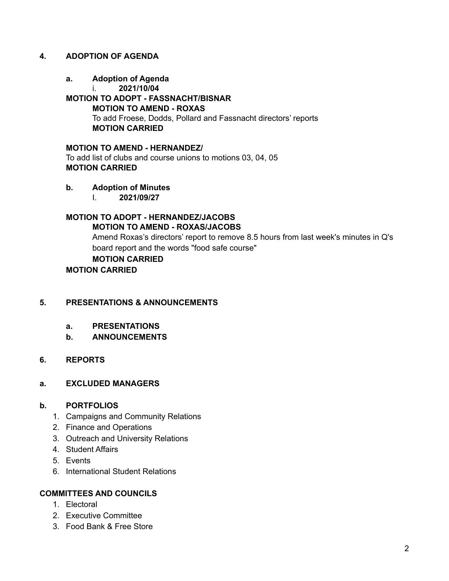#### **4. ADOPTION OF AGENDA**

- **a. Adoption of Agenda**
	- i. **2021/10/04**

## **MOTION TO ADOPT - FASSNACHT/BISNAR MOTION TO AMEND - ROXAS** To add Froese, Dodds, Pollard and Fassnacht directors' reports **MOTION CARRIED**

**MOTION TO AMEND - HERNANDEZ/** To add list of clubs and course unions to motions 03, 04, 05 **MOTION CARRIED**

- **b. Adoption of Minutes**
	- I. **2021/09/27**

# **MOTION TO ADOPT - HERNANDEZ/JACOBS MOTION TO AMEND - ROXAS/JACOBS**

Amend Roxas's directors' report to remove 8.5 hours from last week's minutes in Q's board report and the words "food safe course"

# **MOTION CARRIED**

**MOTION CARRIED**

## **5. PRESENTATIONS & ANNOUNCEMENTS**

- **a. PRESENTATIONS**
- **b. ANNOUNCEMENTS**

#### **6. REPORTS**

#### **a. EXCLUDED MANAGERS**

#### **b. PORTFOLIOS**

- 1. Campaigns and Community Relations
- 2. Finance and Operations
- 3. Outreach and University Relations
- 4. Student Affairs
- 5. Events
- 6. International Student Relations

#### **COMMITTEES AND COUNCILS**

- 1. Electoral
- 2. Executive Committee
- 3. Food Bank & Free Store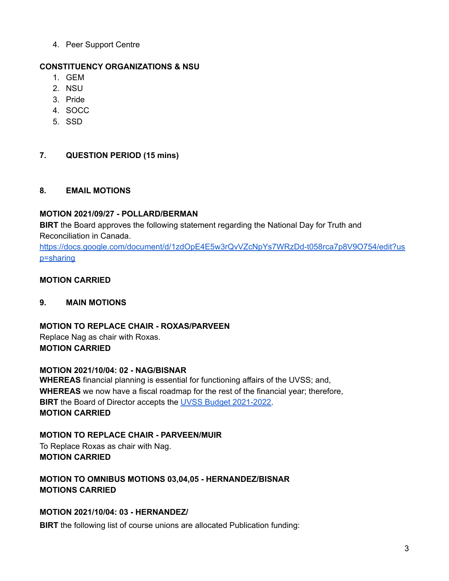4. Peer Support Centre

# **CONSTITUENCY ORGANIZATIONS & NSU**

- 1. GEM
- 2. NSU
- 3. Pride
- 4. SOCC
- 5. SSD

# **7. QUESTION PERIOD (15 mins)**

# **8. EMAIL MOTIONS**

# **MOTION 2021/09/27 - POLLARD/BERMAN**

**BIRT** the Board approves the following statement regarding the National Day for Truth and Reconciliation in Canada.

[https://docs.google.com/document/d/1zdOpE4E5w3rQvVZcNpYs7WRzDd-t058rca7p8V9O754/edit?us](https://docs.google.com/document/d/1zdOpE4E5w3rQvVZcNpYs7WRzDd-t058rca7p8V9O754/edit?usp=sharing) [p=sharing](https://docs.google.com/document/d/1zdOpE4E5w3rQvVZcNpYs7WRzDd-t058rca7p8V9O754/edit?usp=sharing)

# **MOTION CARRIED**

# **9. MAIN MOTIONS**

## **MOTION TO REPLACE CHAIR - ROXAS/PARVEEN** Replace Nag as chair with Roxas.

**MOTION CARRIED**

# **MOTION 2021/10/04: 02 - NAG/BISNAR**

**WHEREAS** financial planning is essential for functioning affairs of the UVSS; and, **WHEREAS** we now have a fiscal roadmap for the rest of the financial year; therefore, **BIRT** the Board of Director accepts the UVSS Budget [2021-2022.](https://docs.google.com/spreadsheets/d/1fGueJSoo_BhX2x75Afi6OMgW29IfX4Xf/edit?usp=sharing&ouid=112680123658445188644&rtpof=true&sd=true) **MOTION CARRIED**

# **MOTION TO REPLACE CHAIR - PARVEEN/MUIR**

To Replace Roxas as chair with Nag. **MOTION CARRIED**

**MOTION TO OMNIBUS MOTIONS 03,04,05 - HERNANDEZ/BISNAR MOTIONS CARRIED**

# **MOTION 2021/10/04: 03 - HERNANDEZ/**

**BIRT** the following list of course unions are allocated Publication funding: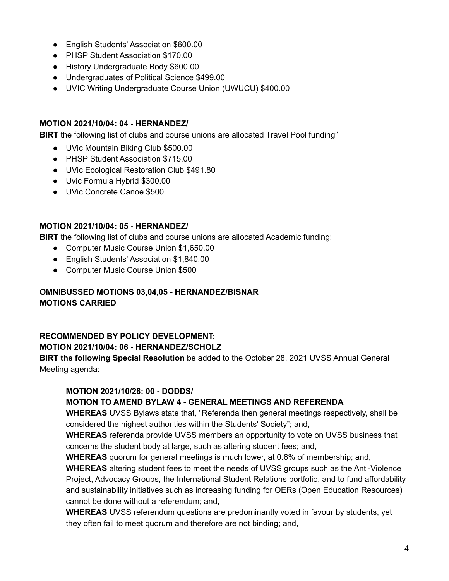- English Students' Association \$600.00
- PHSP Student Association \$170.00
- History Undergraduate Body \$600.00
- Undergraduates of Political Science \$499.00
- UVIC Writing Undergraduate Course Union (UWUCU) \$400.00

#### **MOTION 2021/10/04: 04 - HERNANDEZ/**

**BIRT** the following list of clubs and course unions are allocated Travel Pool funding"

- UVic Mountain Biking Club \$500.00
- PHSP Student Association \$715.00
- UVic Ecological Restoration Club \$491.80
- Uvic Formula Hybrid \$300.00
- UVic Concrete Canoe \$500

#### **MOTION 2021/10/04: 05 - HERNANDEZ/**

**BIRT** the following list of clubs and course unions are allocated Academic funding:

- Computer Music Course Union \$1,650.00
- English Students' Association \$1,840.00
- Computer Music Course Union \$500

#### **OMNIBUSSED MOTIONS 03,04,05 - HERNANDEZ/BISNAR MOTIONS CARRIED**

# **RECOMMENDED BY POLICY DEVELOPMENT:**

#### **MOTION 2021/10/04: 06 - HERNANDEZ/SCHOLZ**

**BIRT the following Special Resolution** be added to the October 28, 2021 UVSS Annual General Meeting agenda:

## **MOTION 2021/10/28: 00 - DODDS/**

## **MOTION TO AMEND BYLAW 4 - GENERAL MEETINGS AND REFERENDA**

**WHEREAS** UVSS Bylaws state that, "Referenda then general meetings respectively, shall be considered the highest authorities within the Students' Society"; and,

**WHEREAS** referenda provide UVSS members an opportunity to vote on UVSS business that concerns the student body at large, such as altering student fees; and,

**WHEREAS** quorum for general meetings is much lower, at 0.6% of membership; and,

**WHEREAS** altering student fees to meet the needs of UVSS groups such as the Anti-Violence Project, Advocacy Groups, the International Student Relations portfolio, and to fund affordability and sustainability initiatives such as increasing funding for OERs (Open Education Resources) cannot be done without a referendum; and,

**WHEREAS** UVSS referendum questions are predominantly voted in favour by students, yet they often fail to meet quorum and therefore are not binding; and,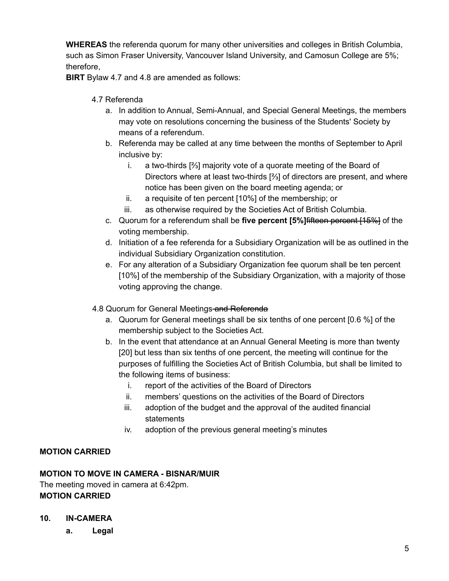**WHEREAS** the referenda quorum for many other universities and colleges in British Columbia, such as Simon Fraser University, Vancouver Island University, and Camosun College are 5%; therefore,

**BIRT** Bylaw 4.7 and 4.8 are amended as follows:

## 4.7 Referenda

- a. In addition to Annual, Semi-Annual, and Special General Meetings, the members may vote on resolutions concerning the business of the Students' Society by means of a referendum.
- b. Referenda may be called at any time between the months of September to April inclusive by:
	- i. a two-thirds [⅔] majority vote of a quorate meeting of the Board of Directors where at least two-thirds [⅔] of directors are present, and where notice has been given on the board meeting agenda; or
	- ii. a requisite of ten percent [10%] of the membership; or
	- iii. as otherwise required by the Societies Act of British Columbia.
- c. Quorum for a referendum shall be **five percent [5%]**fifteen percent [15%] of the voting membership.
- d. Initiation of a fee referenda for a Subsidiary Organization will be as outlined in the individual Subsidiary Organization constitution.
- e. For any alteration of a Subsidiary Organization fee quorum shall be ten percent [10%] of the membership of the Subsidiary Organization, with a majority of those voting approving the change.

## 4.8 Quorum for General Meetings-and Referenda

- a. Quorum for General meetings shall be six tenths of one percent [0.6 %] of the membership subject to the Societies Act.
- b. In the event that attendance at an Annual General Meeting is more than twenty [20] but less than six tenths of one percent, the meeting will continue for the purposes of fulfilling the Societies Act of British Columbia, but shall be limited to the following items of business:
	- i. report of the activities of the Board of Directors
	- ii. members' questions on the activities of the Board of Directors
	- iii. adoption of the budget and the approval of the audited financial statements
	- iv. adoption of the previous general meeting's minutes

# **MOTION CARRIED**

## **MOTION TO MOVE IN CAMERA - BISNAR/MUIR**

The meeting moved in camera at 6:42pm. **MOTION CARRIED**

## **10. IN-CAMERA**

**a. Legal**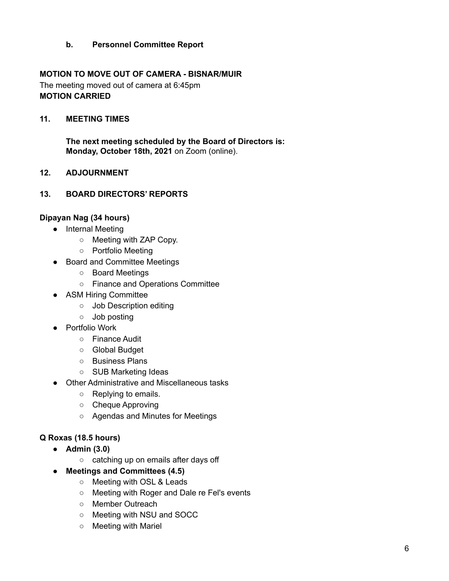## **b. Personnel Committee Report**

## **MOTION TO MOVE OUT OF CAMERA - BISNAR/MUIR**

The meeting moved out of camera at 6:45pm **MOTION CARRIED**

#### **11. MEETING TIMES**

**The next meeting scheduled by the Board of Directors is: Monday, October 18th, 2021** on Zoom (online).

#### **12. ADJOURNMENT**

#### **13. BOARD DIRECTORS' REPORTS**

#### **Dipayan Nag (34 hours)**

- Internal Meeting
	- Meeting with ZAP Copy.
	- Portfolio Meeting
- Board and Committee Meetings
	- Board Meetings
	- Finance and Operations Committee
- ASM Hiring Committee
	- Job Description editing
	- Job posting
- Portfolio Work
	- Finance Audit
	- Global Budget
	- Business Plans
	- SUB Marketing Ideas
- Other Administrative and Miscellaneous tasks
	- Replying to emails.
	- Cheque Approving
	- Agendas and Minutes for Meetings

## **Q Roxas (18.5 hours)**

- **● Admin (3.0)**
	- catching up on emails after days off
- **● Meetings and Committees (4.5)**
	- Meeting with OSL & Leads
	- Meeting with Roger and Dale re Fel's events
	- Member Outreach
	- Meeting with NSU and SOCC
	- Meeting with Mariel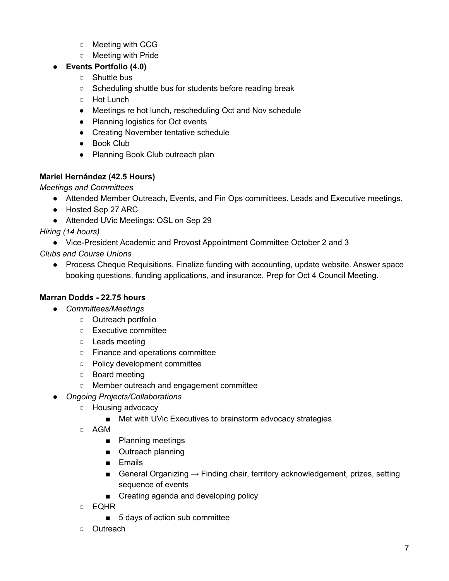- Meeting with CCG
- Meeting with Pride

## **● Events Portfolio (4.0)**

- Shuttle bus
- Scheduling shuttle bus for students before reading break
- Hot Lunch
- Meetings re hot lunch, rescheduling Oct and Nov schedule
- Planning logistics for Oct events
- Creating November tentative schedule
- Book Club
- Planning Book Club outreach plan

# **Mariel Hernández (42.5 Hours)**

*Meetings and Committees*

- Attended Member Outreach, Events, and Fin Ops committees. Leads and Executive meetings.
- Hosted Sep 27 ARC
- Attended UVic Meetings: OSL on Sep 29

*Hiring (14 hours)*

● Vice-President Academic and Provost Appointment Committee October 2 and 3

*Clubs and Course Unions*

● Process Cheque Requisitions. Finalize funding with accounting, update website. Answer space booking questions, funding applications, and insurance. Prep for Oct 4 Council Meeting.

# **Marran Dodds - 22.75 hours**

- *Committees/Meetings*
	- Outreach portfolio
	- Executive committee
	- Leads meeting
	- Finance and operations committee
	- Policy development committee
	- Board meeting
	- Member outreach and engagement committee
- *Ongoing Projects/Collaborations*
	- Housing advocacy
		- Met with UVic Executives to brainstorm advocacy strategies
	- AGM
		- Planning meetings
		- Outreach planning
		- Emails
		- General Organizing  $\rightarrow$  Finding chair, territory acknowledgement, prizes, setting sequence of events
		- Creating agenda and developing policy
	- EQHR
		- 5 days of action sub committee
	- Outreach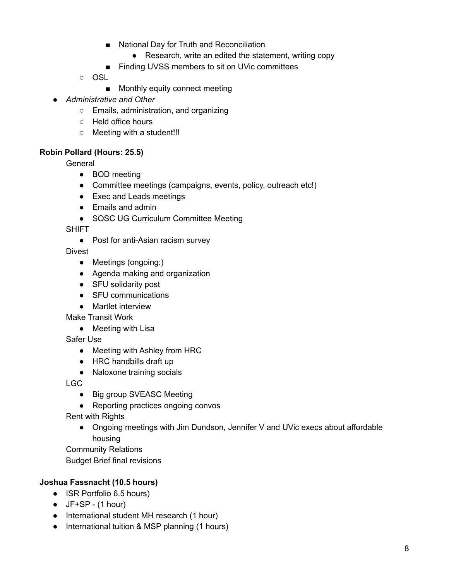- National Day for Truth and Reconciliation
	- Research, write an edited the statement, writing copy
- Finding UVSS members to sit on UVic committees
- OSL
	- Monthly equity connect meeting
- *Administrative and Other*
	- Emails, administration, and organizing
	- Held office hours
	- Meeting with a student!!!

## **Robin Pollard (Hours: 25.5)**

General

- BOD meeting
- Committee meetings (campaigns, events, policy, outreach etc!)
- Exec and Leads meetings
- Emails and admin
- SOSC UG Curriculum Committee Meeting

**SHIFT** 

● Post for anti-Asian racism survey

Divest

- Meetings (ongoing:)
- Agenda making and organization
- SFU solidarity post
- SFU communications
- Martlet interview

Make Transit Work

● Meeting with Lisa

Safer Use

- Meeting with Ashley from HRC
- HRC handbills draft up
- Naloxone training socials

LGC

- Big group SVEASC Meeting
- Reporting practices ongoing convos

Rent with Rights

● Ongoing meetings with Jim Dundson, Jennifer V and UVic execs about affordable housing

Community Relations Budget Brief final revisions

# **Joshua Fassnacht (10.5 hours)**

- ISR Portfolio 6.5 hours)
- $\bullet$  JF+SP (1 hour)
- International student MH research (1 hour)
- International tuition & MSP planning (1 hours)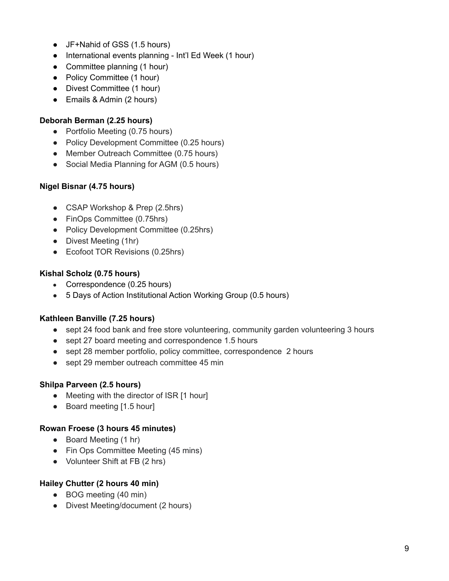- JF+Nahid of GSS (1.5 hours)
- International events planning Int'l Ed Week (1 hour)
- Committee planning (1 hour)
- Policy Committee (1 hour)
- Divest Committee (1 hour)
- Emails & Admin (2 hours)

## **Deborah Berman (2.25 hours)**

- Portfolio Meeting (0.75 hours)
- Policy Development Committee (0.25 hours)
- Member Outreach Committee (0.75 hours)
- Social Media Planning for AGM (0.5 hours)

## **Nigel Bisnar (4.75 hours)**

- CSAP Workshop & Prep (2.5hrs)
- FinOps Committee (0.75hrs)
- Policy Development Committee (0.25hrs)
- Divest Meeting (1hr)
- Ecofoot TOR Revisions (0.25hrs)

## **Kishal Scholz (0.75 hours)**

- Correspondence (0.25 hours)
- 5 Days of Action Institutional Action Working Group (0.5 hours)

# **Kathleen Banville (7.25 hours)**

- sept 24 food bank and free store volunteering, community garden volunteering 3 hours
- sept 27 board meeting and correspondence 1.5 hours
- sept 28 member portfolio, policy committee, correspondence 2 hours
- sept 29 member outreach committee 45 min

# **Shilpa Parveen (2.5 hours)**

- Meeting with the director of ISR [1 hour]
- Board meeting [1.5 hour]

## **Rowan Froese (3 hours 45 minutes)**

- Board Meeting (1 hr)
- Fin Ops Committee Meeting (45 mins)
- Volunteer Shift at FB (2 hrs)

## **Hailey Chutter (2 hours 40 min)**

- BOG meeting (40 min)
- Divest Meeting/document (2 hours)